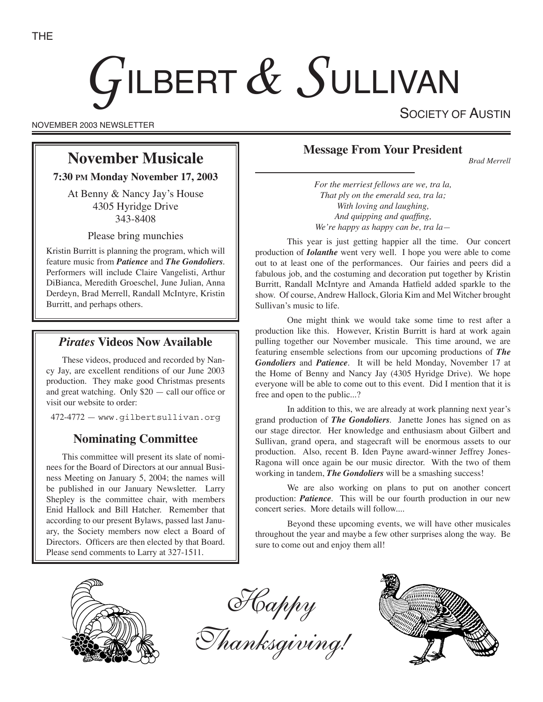# GILBERT & SULLIVAN

NOVEMBER 2003 NEWSLETTER

SOCIETY OF AUSTIN

# **November Musicale**

**7:30 PM Monday November 17, 2003**

At Benny & Nancy Jay's House 4305 Hyridge Drive 343-8408

Please bring munchies

Kristin Burritt is planning the program, which will feature music from *Patience* and *The Gondoliers*. Performers will include Claire Vangelisti, Arthur DiBianca, Meredith Groeschel, June Julian, Anna Derdeyn, Brad Merrell, Randall McIntyre, Kristin Burritt, and perhaps others.

## *Pirates* **Videos Now Available**

These videos, produced and recorded by Nancy Jay, are excellent renditions of our June 2003 production. They make good Christmas presents and great watching. Only \$20 — call our office or visit our website to order:

472-4772 — www.gilbertsullivan.org

## **Nominating Committee**

This committee will present its slate of nominees for the Board of Directors at our annual Business Meeting on January 5, 2004; the names will be published in our January Newsletter. Larry Shepley is the committee chair, with members Enid Hallock and Bill Hatcher. Remember that according to our present Bylaws, passed last January, the Society members now elect a Board of Directors. Officers are then elected by that Board. Please send comments to Larry at 327-1511.



*Brad Merrell*

*For the merriest fellows are we, tra la, That ply on the emerald sea, tra la; With loving and laughing, And quipping and quaffing, We're happy as happy can be, tra la—*

This year is just getting happier all the time. Our concert production of *Iolanthe* went very well. I hope you were able to come out to at least one of the performances. Our fairies and peers did a fabulous job, and the costuming and decoration put together by Kristin Burritt, Randall McIntyre and Amanda Hatfield added sparkle to the show. Of course, Andrew Hallock, Gloria Kim and Mel Witcher brought Sullivan's music to life.

One might think we would take some time to rest after a production like this. However, Kristin Burritt is hard at work again pulling together our November musicale. This time around, we are featuring ensemble selections from our upcoming productions of *The Gondoliers* and *Patience*. It will be held Monday, November 17 at the Home of Benny and Nancy Jay (4305 Hyridge Drive). We hope everyone will be able to come out to this event. Did I mention that it is free and open to the public...?

In addition to this, we are already at work planning next year's grand production of *The Gondoliers*. Janette Jones has signed on as our stage director. Her knowledge and enthusiasm about Gilbert and Sullivan, grand opera, and stagecraft will be enormous assets to our production. Also, recent B. Iden Payne award-winner Jeffrey Jones-Ragona will once again be our music director. With the two of them working in tandem, *The Gondoliers* will be a smashing success!

We are also working on plans to put on another concert production: *Patience*. This will be our fourth production in our new concert series. More details will follow....

Beyond these upcoming events, we will have other musicales throughout the year and maybe a few other surprises along the way. Be sure to come out and enjoy them all!



Happy

Thanksgiving!

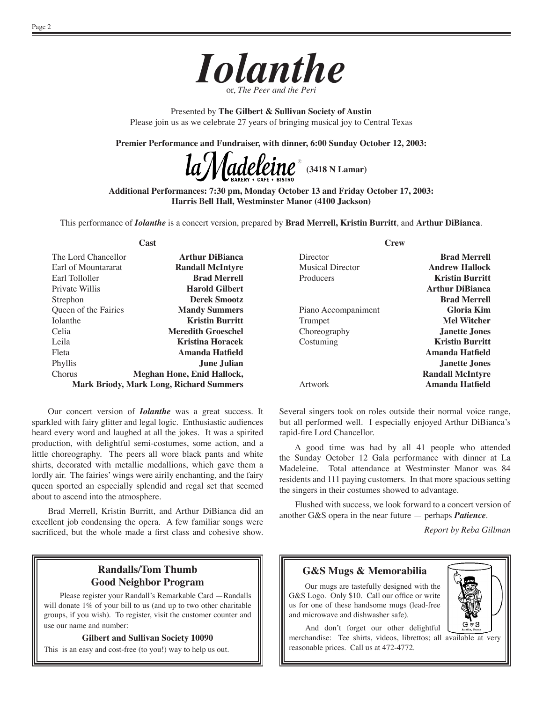

Presented by **The Gilbert & Sullivan Society of Austin** Please join us as we celebrate 27 years of bringing musical joy to Central Texas

**Premier Performance and Fundraiser, with dinner, 6:00 Sunday October 12, 2003:**

**(3418 N Lamar)**

**Additional Performances: 7:30 pm, Monday October 13 and Friday October 17, 2003: Harris Bell Hall, Westminster Manor (4100 Jackson)**

This performance of *Iolanthe* is a concert version, prepared by **Brad Merrell, Kristin Burritt**, and **Arthur DiBianca**.

**Cast**

| The Lord Chancellor                            | <b>Arthur DiBianca</b>     |
|------------------------------------------------|----------------------------|
| Earl of Mountararat                            | <b>Randall McIntyre</b>    |
| Earl Tolloller                                 | <b>Brad Merrell</b>        |
| Private Willis                                 | <b>Harold Gilbert</b>      |
| Strephon                                       | <b>Derek Smootz</b>        |
| Queen of the Fairies                           | <b>Mandy Summers</b>       |
| <b>Iolanthe</b>                                | <b>Kristin Burritt</b>     |
| Celia                                          | <b>Meredith Groeschel</b>  |
| Leila                                          | <b>Kristina Horacek</b>    |
| Fleta                                          | Amanda Hatfield            |
| Phyllis                                        | <b>June Julian</b>         |
| <b>Chorus</b>                                  | Meghan Hone, Enid Hallock, |
| <b>Mark Briody, Mark Long, Richard Summers</b> |                            |

Our concert version of *Iolanthe* was a great success. It sparkled with fairy glitter and legal logic. Enthusiastic audiences heard every word and laughed at all the jokes. It was a spirited production, with delightful semi-costumes, some action, and a little choreography. The peers all wore black pants and white shirts, decorated with metallic medallions, which gave them a lordly air. The fairies' wings were airily enchanting, and the fairy queen sported an especially splendid and regal set that seemed about to ascend into the atmosphere.

Brad Merrell, Kristin Burritt, and Arthur DiBianca did an excellent job condensing the opera. A few familiar songs were sacrificed, but the whole made a first class and cohesive show.

### **Randalls/Tom Thumb Good Neighbor Program**

Please register your Randall's Remarkable Card —Randalls will donate 1% of your bill to us (and up to two other charitable groups, if you wish). To register, visit the customer counter and use our name and number:

**Gilbert and Sullivan Society 10090**

This is an easy and cost-free (to you!) way to help us out.

**Crew**

| <b>Brad Merrell</b>     |
|-------------------------|
| <b>Andrew Hallock</b>   |
| <b>Kristin Burritt</b>  |
| <b>Arthur DiBianca</b>  |
| <b>Brad Merrell</b>     |
| Gloria Kim              |
| <b>Mel Witcher</b>      |
| Janette Jones           |
| <b>Kristin Burritt</b>  |
| Amanda Hatfield         |
| Janette Jones           |
| <b>Randall McIntyre</b> |
| Amanda Hatfield         |
|                         |

Several singers took on roles outside their normal voice range, but all performed well. I especially enjoyed Arthur DiBianca's rapid-fire Lord Chancellor.

A good time was had by all 41 people who attended the Sunday October 12 Gala performance with dinner at La Madeleine. Total attendance at Westminster Manor was 84 residents and 111 paying customers. In that more spacious setting the singers in their costumes showed to advantage.

Flushed with success, we look forward to a concert version of another G&S opera in the near future — perhaps *Patience*.

*Report by Reba Gillman*

#### **G&S Mugs & Memorabilia**

Our mugs are tastefully designed with the G&S Logo. Only \$10. Call our office or write us for one of these handsome mugs (lead-free and microwave and dishwasher safe).



 And don't forget our other delightful merchandise: Tee shirts, videos, librettos; all available at very reasonable prices. Call us at 472-4772.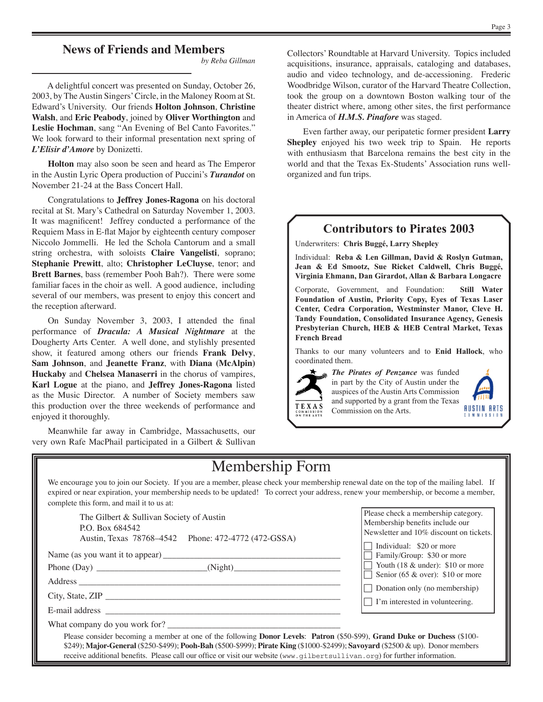## **News of Friends and Members**

*by Reba Gillman*

A delightful concert was presented on Sunday, October 26, 2003, by The Austin Singers' Circle, in the Maloney Room at St. Edward's University. Our friends **Holton Johnson**, **Christine Walsh**, and **Eric Peabody**, joined by **Oliver Worthington** and **Leslie Hochman**, sang "An Evening of Bel Canto Favorites." We look forward to their informal presentation next spring of *L'Elisir d'Amore* by Donizetti.

**Holton** may also soon be seen and heard as The Emperor in the Austin Lyric Opera production of Puccini's *Turandot* on November 21-24 at the Bass Concert Hall.

Congratulations to **Jeffrey Jones-Ragona** on his doctoral recital at St. Mary's Cathedral on Saturday November 1, 2003. It was magnificent! Jeffrey conducted a performance of the Requiem Mass in E-flat Major by eighteenth century composer Niccolo Jommelli. He led the Schola Cantorum and a small string orchestra, with soloists **Claire Vangelisti**, soprano; **Stephanie Prewitt**, alto; **Christopher LeCluyse**, tenor; and **Brett Barnes**, bass (remember Pooh Bah?). There were some familiar faces in the choir as well. A good audience, including several of our members, was present to enjoy this concert and the reception afterward.

On Sunday November 3, 2003, I attended the final performance of *Dracula: A Musical Nightmare* at the Dougherty Arts Center. A well done, and stylishly presented show, it featured among others our friends **Frank Delvy**, **Sam Johnson**, and **Jeanette Franz**, with **Diana (McAlpin) Huckaby** and **Chelsea Manaserri** in the chorus of vampires, **Karl Logue** at the piano, and **Jeffrey Jones-Ragona** listed as the Music Director. A number of Society members saw this production over the three weekends of performance and enjoyed it thoroughly.

Meanwhile far away in Cambridge, Massachusetts, our very own Rafe MacPhail participated in a Gilbert & Sullivan

Even farther away, our peripatetic former president **Larry Shepley** enjoyed his two week trip to Spain. He reports with enthusiasm that Barcelona remains the best city in the world and that the Texas Ex-Students' Association runs wellorganized and fun trips.

## **Contributors to Pirates 2003**

Underwriters: **Chris Buggé, Larry Shepley**

Individual: **Reba & Len Gillman, David & Roslyn Gutman, Jean & Ed Smootz, Sue Ricket Caldwell, Chris Buggé, Virginia Ehmann, Dan Girardot, Allan & Barbara Longacre**

Corporate, Government, and Foundation: **Still Water Foundation of Austin, Priority Copy, Eyes of Texas Laser Center, Cedra Corporation, Westminster Manor, Cleve H. Tandy Foundation, Consolidated Insurance Agency, Genesis Presbyterian Church, HEB & HEB Central Market, Texas French Bread**

Thanks to our many volunteers and to **Enid Hallock**, who coordinated them.



*The Pirates of Penzance* was funded in part by the City of Austin under the auspices of the Austin Arts Commission and supported by a grant from the Texas Commission on the Arts.



## Membership Form

We encourage you to join our Society. If you are a member, please check your membership renewal date on the top of the mailing label. If expired or near expiration, your membership needs to be updated! To correct your address, renew your membership, or become a member, complete this form, and mail it to us at:

The Gilbert & Sullivan Society of Austin P.O. Box 684542 Austin, Texas 78768–4542 Phone: 472-4772 (472-GSSA)

Name (as you want it to appear) \_\_\_\_\_\_\_\_\_\_\_\_\_\_\_\_\_\_\_\_\_\_\_\_\_\_\_\_\_\_\_\_\_\_\_\_\_\_\_\_

Phone (Day) \_\_\_\_\_\_\_\_\_\_\_\_\_\_\_\_\_\_\_\_\_\_\_\_\_\_\_\_\_\_\_\_\_(Night)\_\_\_\_\_\_\_\_\_\_\_\_\_\_\_\_\_\_\_\_\_\_\_\_\_\_\_\_\_

Address \_\_\_\_\_\_\_\_\_\_\_\_\_\_\_\_\_\_\_\_\_\_\_\_\_\_\_\_\_\_\_\_\_\_\_\_\_\_\_\_\_\_\_\_\_\_\_\_\_\_\_\_\_\_\_\_\_\_\_

City, State, ZIP

E-mail address \_\_\_\_\_\_\_\_\_\_\_\_\_\_\_\_\_\_\_\_\_\_\_\_\_\_\_\_\_\_\_\_\_\_\_\_\_\_\_\_\_\_\_\_\_\_\_\_\_\_\_\_\_

What company do you work for?

Please check a membership category. Membership benefits include our Newsletter and 10% discount on tickets.

Individual: \$20 or more

Family/Group: \$30 or more

Youth (18  $&$  under): \$10 or more Senior (65  $&$  over): \$10 or more

Donation only (no membership)

 $\Box$  I'm interested in volunteering.

Please consider becoming a member at one of the following **Donor Levels**: **Patron** (\$50-\$99), **Grand Duke or Duchess** (\$100- \$249); **Major-General** (\$250-\$499); **Pooh-Bah** (\$500-\$999); **Pirate King** (\$1000-\$2499); **Savoyard** (\$2500 & up). Donor members receive additional benefits. Please call our office or visit our website (www.gilbertsullivan.org) for further information.